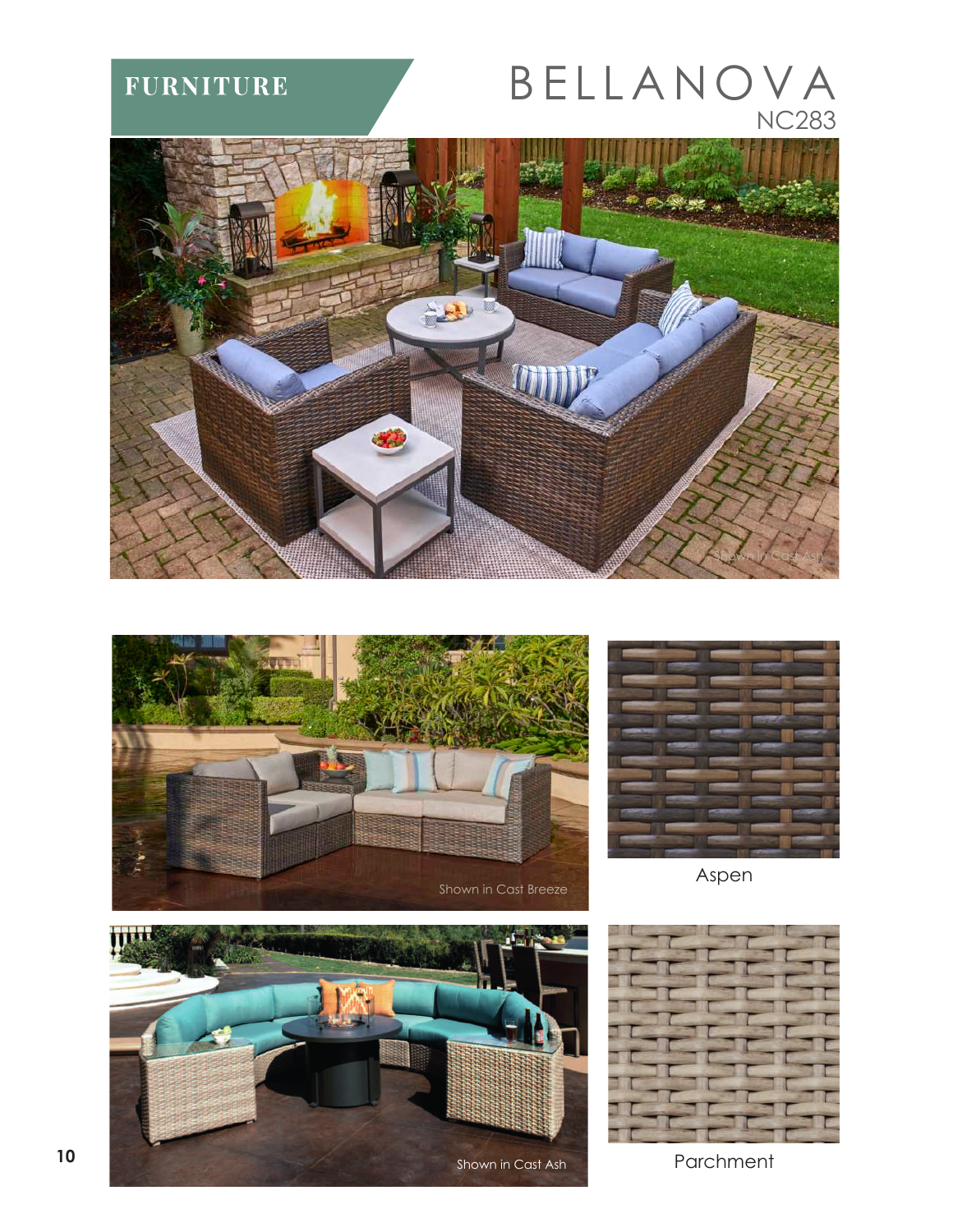**FURNITURE** 

## BELLANOVA NC283







Aspen





Parchment